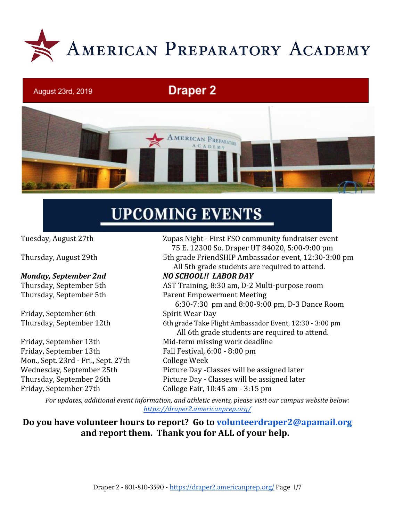

# **Draper 2**



# **UPCOMING EVENTS**

August 23rd, 2019

#### *Monday, September 2nd NO SCHOOL!! LABOR DAY*

Friday, September 6th Spirit Wear Day

Friday, September 13th Fall Festival, 6:00 - 8:00 pm Mon., Sept. 23rd - Fri., Sept. 27th College Week Friday, September 27th College Fair, 10:45 am - 3:15 pm

Tuesday, August 27th Zupas Night - First FSO community fundraiser event 75 E. 12300 So. Draper UT 84020, 5:00-9:00 pm Thursday, August 29th 5th grade FriendSHIP Ambassador event, 12:30-3:00 pm All 5th grade students are required to attend.

Thursday, September 5th AST Training, 8:30 am, D-2 Multi-purpose room Thursday, September 5th Parent Empowerment Meeting 6:30-7:30 pm and 8:00-9:00 pm, D-3 Dance Room Thursday, September 12th 6th grade Take Flight Ambassador Event, 12:30 - 3:00 pm All 6th grade students are required to attend. Friday, September 13th Mid-term missing work deadline Wednesday, September 25th Picture Day -Classes will be assigned later Thursday, September 26th Picture Day - Classes will be assigned later

*For updates, additional event information, and athletic events, please visit our campus website below: <https://draper2.americanprep.org/>*

**Do you have volunteer hours to report? Go to [volunteerdraper2@apamail.org](mailto:volunteerdraper2@apamail.org) and report them. Thank you for ALL of your help.**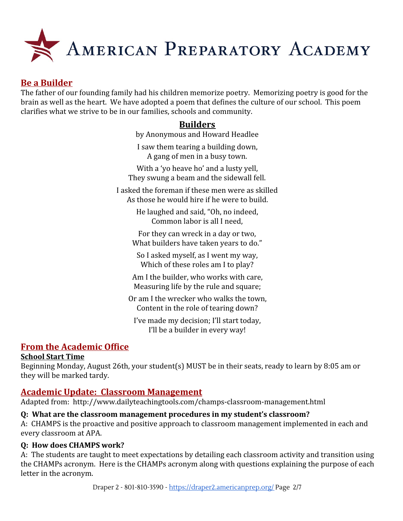

# **Be a Builder**

The father of our founding family had his children memorize poetry. Memorizing poetry is good for the brain as well as the heart. We have adopted a poem that defines the culture of our school. This poem clarifies what we strive to be in our families, schools and community.

# **Builders**

by Anonymous and Howard Headlee I saw them tearing a building down,

A gang of men in a busy town.

With a 'yo heave ho' and a lusty yell, They swung a beam and the sidewall fell.

I asked the foreman if these men were as skilled As those he would hire if he were to build.

> He laughed and said, "Oh, no indeed, Common labor is all I need,

For they can wreck in a day or two, What builders have taken years to do."

So I asked myself, as I went my way, Which of these roles am I to play?

Am I the builder, who works with care, Measuring life by the rule and square;

Or am I the wrecker who walks the town, Content in the role of tearing down?

I've made my decision; I'll start today, I'll be a builder in every way!

# **From the Academic Office**

#### **School Start Time**

Beginning Monday, August 26th, your student(s) MUST be in their seats, ready to learn by 8:05 am or they will be marked tardy.

# **Academic Update: Classroom Management**

Adapted from: http://www.dailyteachingtools.com/champs-classroom-management.html

#### **Q: What are the classroom management procedures in my student's classroom?**

A: CHAMPS is the proactive and positive approach to classroom management implemented in each and every classroom at APA.

#### **Q: How does CHAMPS work?**

A: The students are taught to meet expectations by detailing each classroom activity and transition using the CHAMPs acronym. Here is the CHAMPs acronym along with questions explaining the purpose of each letter in the acronym.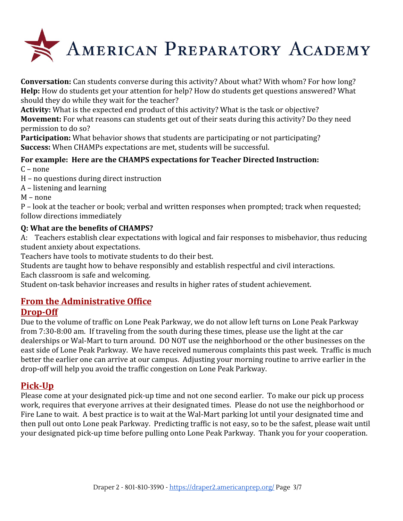

**Conversation:** Can students converse during this activity? About what? With whom? For how long? **Help:** How do students get your attention for help? How do students get questions answered? What should they do while they wait for the teacher?

**Activity:** What is the expected end product of this activity? What is the task or objective?

**Movement:** For what reasons can students get out of their seats during this activity? Do they need permission to do so?

**Participation:** What behavior shows that students are participating or not participating? **Success:** When CHAMPs expectations are met, students will be successful.

# **For example: Here are the CHAMPS expectations for Teacher Directed Instruction:**

 $C$  – none

H – no questions during direct instruction

A – listening and learning

M – none

P – look at the teacher or book; verbal and written responses when prompted; track when requested; follow directions immediately

#### **Q: What are the benefits of CHAMPS?**

A: Teachers establish clear expectations with logical and fair responses to misbehavior, thus reducing student anxiety about expectations.

Teachers have tools to motivate students to do their best.

Students are taught how to behave responsibly and establish respectful and civil interactions.

Each classroom is safe and welcoming.

Student on-task behavior increases and results in higher rates of student achievement.

# **From the Administrative Office**

### **Drop-Off**

Due to the volume of traffic on Lone Peak Parkway, we do not allow left turns on Lone Peak Parkway from 7:30-8:00 am. If traveling from the south during these times, please use the light at the car dealerships or Wal-Mart to turn around. DO NOT use the neighborhood or the other businesses on the east side of Lone Peak Parkway. We have received numerous complaints this past week. Traffic is much better the earlier one can arrive at our campus. Adjusting your morning routine to arrive earlier in the drop-off will help you avoid the traffic congestion on Lone Peak Parkway.

# **Pick-Up**

Please come at your designated pick-up time and not one second earlier. To make our pick up process work, requires that everyone arrives at their designated times. Please do not use the neighborhood or Fire Lane to wait. A best practice is to wait at the Wal-Mart parking lot until your designated time and then pull out onto Lone peak Parkway. Predicting traffic is not easy, so to be the safest, please wait until your designated pick-up time before pulling onto Lone Peak Parkway. Thank you for your cooperation.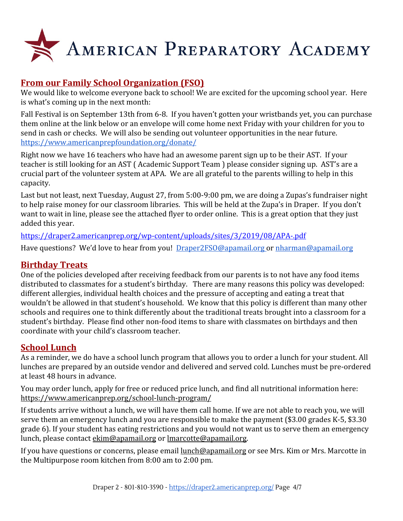

# **From our Family School Organization (FSO)**

We would like to welcome everyone back to school! We are excited for the upcoming school year. Here is what's coming up in the next month:

Fall Festival is on September 13th from 6-8. If you haven't gotten your wristbands yet, you can purchase them online at the link below or an envelope will come home next Friday with your children for you to send in cash or checks. We will also be sending out volunteer opportunities in the near future. <https://www.americanprepfoundation.org/donate/>

Right now we have 16 teachers who have had an awesome parent sign up to be their AST. If your teacher is still looking for an AST ( Academic Support Team ) please consider signing up. AST's are a crucial part of the volunteer system at APA. We are all grateful to the parents willing to help in this capacity.

Last but not least, next Tuesday, August 27, from 5:00-9:00 pm, we are doing a Zupas's fundraiser night to help raise money for our classroom libraries. This will be held at the Zupa's in Draper. If you don't want to wait in line, please see the attached flyer to order online. This is a great option that they just added this year.

<https://draper2.americanprep.org/wp-content/uploads/sites/3/2019/08/APA-.pdf>

Have questions? We'd love to hear from you! [Draper2FSO@apamail.org o](mailto:Draper2FSO@apamail.org)r [nharman@apamail.org](mailto:nharman@apamail.org)

### **Birthday Treats**

One of the policies developed after receiving feedback from our parents is to not have any food items distributed to classmates for a student's birthday. There are many reasons this policy was developed: different allergies, individual health choices and the pressure of accepting and eating a treat that wouldn't be allowed in that student's household. We know that this policy is different than many other schools and requires one to think differently about the traditional treats brought into a classroom for a student's birthday. Please find other non-food items to share with classmates on birthdays and then coordinate with your child's classroom teacher.

# **School Lunch**

As a reminder, we do have a school lunch program that allows you to order a lunch for your student. All lunches are prepared by an outside vendor and delivered and served cold. Lunches must be pre-ordered at least 48 hours in advance.

You may order lunch, apply for free or reduced price lunch, and find all nutritional information here: <https://www.americanprep.org/school-lunch-program/>

If students arrive without a lunch, we will have them call home. If we are not able to reach you, we will serve them an emergency lunch and you are responsible to make the payment (\$3.00 grades K-5, \$3.30 grade 6). If your student has eating restrictions and you would not want us to serve them an emergency lunch, please contact [ekim@apamail.org](mailto:ekim@apamail.org) or [lmarcotte@apamail.org.](mailto:lmarcotte@apamail.org)

If you have questions or concerns, please email [lunch@apamail.org](mailto:lunch@apamail.org) or see Mrs. Kim or Mrs. Marcotte in the Multipurpose room kitchen from 8:00 am to 2:00 pm.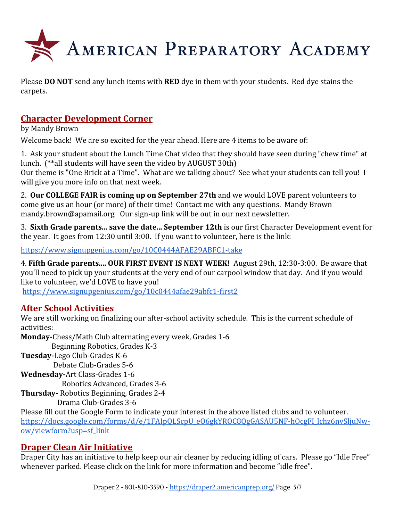

Please **DO NOT** send any lunch items with **RED** dye in them with your students. Red dye stains the carpets.

# **Character Development Corner**

by Mandy Brown

Welcome back! We are so excited for the year ahead. Here are 4 items to be aware of:

1. Ask your student about the Lunch Time Chat video that they should have seen during "chew time" at lunch. (\*\*all students will have seen the video by AUGUST 30th)

Our theme is "One Brick at a Time". What are we talking about? See what your students can tell you! I will give you more info on that next week.

2. **Our COLLEGE FAIR is coming up on September 27th** and we would LOVE parent volunteers to come give us an hour (or more) of their time! Contact me with any questions. Mandy Brown mandy.brown@apamail.org Our sign-up link will be out in our next newsletter.

3. **Sixth Grade parents... save the date... September 12th** is our first Character Development event for the year. It goes from 12:30 until 3:00. If you want to volunteer, here is the link:

<https://www.signupgenius.com/go/10C0444AFAE29ABFC1-take>

4. **Fifth Grade parents.... OUR FIRST EVENT IS NEXT WEEK!** August 29th, 12:30-3:00. Be aware that you'll need to pick up your students at the very end of our carpool window that day. And if you would like to volunteer, we'd LOVE to have you!

<https://www.signupgenius.com/go/10c0444afae29abfc1-first2>

# **After School Activities**

We are still working on finalizing our after-school activity schedule. This is the current schedule of activities:

**Monday-**Chess/Math Club alternating every week, Grades 1-6 Beginning Robotics, Grades K-3 **Tuesday-**Lego Club-Grades K-6 Debate Club-Grades 5-6 **Wednesday-**Art Class-Grades 1-6 Robotics Advanced, Grades 3-6 **Thursday-** Robotics Beginning, Grades 2-4 Drama Club-Grades 3-6

Please fill out the Google Form to indicate your interest in the above listed clubs and to volunteer. [https://docs.google.com/forms/d/e/1FAIpQLScpU\\_eO6gkYROC8QgGASAU5NF-hOcgFI\\_lchz6nvSljuNw](https://docs.google.com/forms/d/e/1FAIpQLScpU_eO6gkYROC8QgGASAU5NF-hOcgFI_lchz6nvSljuNw-ow/viewform?usp=sf_link)[ow/viewform?usp=sf\\_link](https://docs.google.com/forms/d/e/1FAIpQLScpU_eO6gkYROC8QgGASAU5NF-hOcgFI_lchz6nvSljuNw-ow/viewform?usp=sf_link)

### **Draper Clean Air Initiative**

Draper City has an initiative to help keep our air cleaner by reducing idling of cars. Please go "Idle Free" whenever parked. Please click on the link for more information and become "idle free".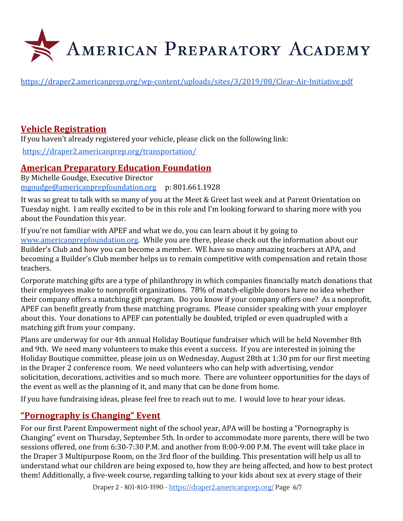

<https://draper2.americanprep.org/wp-content/uploads/sites/3/2019/08/Clear-Air-Initiative.pdf>

# **Vehicle Registration**

If you haven't already registered your vehicle, please click on the following link:

<https://draper2.americanprep.org/transportation/>

### **American Preparatory Education Foundation**

By Michelle Goudge, Executive Director [mgoudge@americanprepfoundation.org](mailto:mgoudge@americanprepfoundation.org) p: 801.661.1928

It was so great to talk with so many of you at the Meet & Greet last week and at Parent Orientation on Tuesday night. I am really excited to be in this role and I'm looking forward to sharing more with you about the Foundation this year.

If you're not familiar with APEF and what we do, you can learn about it by going to [www.americanprepfoundation.org.](http://www.americanprepfoundation.org/) While you are there, please check out the information about our Builder's Club and how you can become a member. WE have so many amazing teachers at APA, and becoming a Builder's Club member helps us to remain competitive with compensation and retain those teachers.

Corporate matching gifts are a type of philanthropy in which companies financially match donations that their employees make to nonprofit organizations. 78% of match-eligible donors have no idea whether their company offers a matching gift program. Do you know if your company offers one? As a nonprofit, APEF can benefit greatly from these matching programs. Please consider speaking with your employer about this. Your donations to APEF can potentially be doubled, tripled or even quadrupled with a matching gift from your company.

Plans are underway for our 4th annual Holiday Boutique fundraiser which will be held November 8th and 9th. We need many volunteers to make this event a success. If you are interested in joining the Holiday Boutique committee, please join us on Wednesday, August 28th at 1:30 pm for our first meeting in the Draper 2 conference room. We need volunteers who can help with advertising, vendor solicitation, decorations, activities and so much more. There are volunteer opportunities for the days of the event as well as the planning of it, and many that can be done from home.

If you have fundraising ideas, please feel free to reach out to me. I would love to hear your ideas.

### **"Pornography is Changing" Event**

For our first Parent Empowerment night of the school year, APA will be hosting a "Pornography is Changing" event on Thursday, September 5th. In order to accommodate more parents, there will be two sessions offered, one from 6:30-7:30 P.M. and another from 8:00-9:00 P.M. The event will take place in the Draper 3 Multipurpose Room, on the 3rd floor of the building. This presentation will help us all to understand what our children are being exposed to, how they are being affected, and how to best protect them! Additionally, a five-week course, regarding talking to your kids about sex at every stage of their